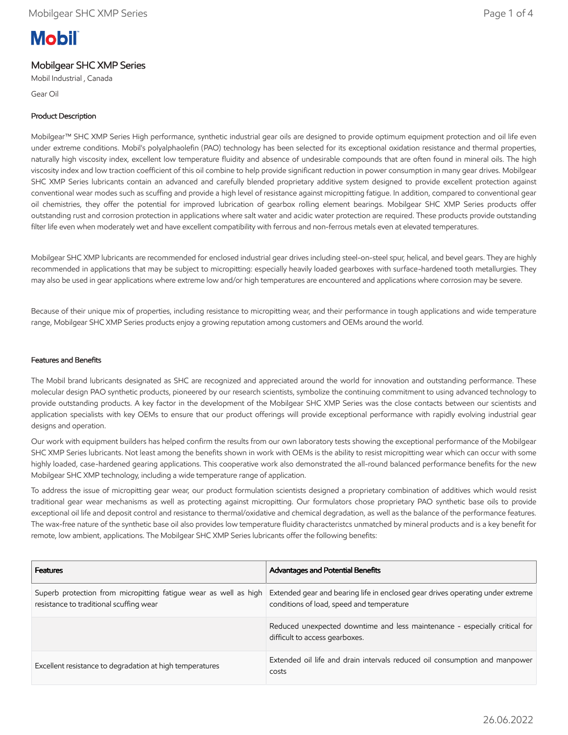# **Mobil**

## Mobilgear SHC XMP Series

Mobil Industrial , Canada

Gear Oil

### Product Description

Mobilgear™ SHC XMP Series High performance, synthetic industrial gear oils are designed to provide optimum equipment protection and oil life even under extreme conditions. Mobil's polyalphaolefin (PAO) technology has been selected for its exceptional oxidation resistance and thermal properties, naturally high viscosity index, excellent low temperature fluidity and absence of undesirable compounds that are often found in mineral oils. The high viscosity index and low traction coefficient of this oil combine to help provide significant reduction in power consumption in many gear drives. Mobilgear SHC XMP Series lubricants contain an advanced and carefully blended proprietary additive system designed to provide excellent protection against conventional wear modes such as scuffing and provide a high level of resistance against micropitting fatigue. In addition, compared to conventional gear oil chemistries, they offer the potential for improved lubrication of gearbox rolling element bearings. Mobilgear SHC XMP Series products offer outstanding rust and corrosion protection in applications where salt water and acidic water protection are required. These products provide outstanding filter life even when moderately wet and have excellent compatibility with ferrous and non-ferrous metals even at elevated temperatures.

Mobilgear SHC XMP lubricants are recommended for enclosed industrial gear drives including steel-on-steel spur, helical, and bevel gears. They are highly recommended in applications that may be subject to micropitting: especially heavily loaded gearboxes with surface-hardened tooth metallurgies. They may also be used in gear applications where extreme low and/or high temperatures are encountered and applications where corrosion may be severe.

Because of their unique mix of properties, including resistance to micropitting wear, and their performance in tough applications and wide temperature range, Mobilgear SHC XMP Series products enjoy a growing reputation among customers and OEMs around the world.

#### Features and Benefits

The Mobil brand lubricants designated as SHC are recognized and appreciated around the world for innovation and outstanding performance. These molecular design PAO synthetic products, pioneered by our research scientists, symbolize the continuing commitment to using advanced technology to provide outstanding products. A key factor in the development of the Mobilgear SHC XMP Series was the close contacts between our scientists and application specialists with key OEMs to ensure that our product offerings will provide exceptional performance with rapidly evolving industrial gear designs and operation.

Our work with equipment builders has helped confirm the results from our own laboratory tests showing the exceptional performance of the Mobilgear SHC XMP Series lubricants. Not least among the benefits shown in work with OEMs is the ability to resist micropitting wear which can occur with some highly loaded, case-hardened gearing applications. This cooperative work also demonstrated the all-round balanced performance benefits for the new Mobilgear SHC XMP technology, including a wide temperature range of application.

To address the issue of micropitting gear wear, our product formulation scientists designed a proprietary combination of additives which would resist traditional gear wear mechanisms as well as protecting against micropitting. Our formulators chose proprietary PAO synthetic base oils to provide exceptional oil life and deposit control and resistance to thermal/oxidative and chemical degradation, as well as the balance of the performance features. The wax-free nature of the synthetic base oil also provides low temperature fluidity characteristcs unmatched by mineral products and is a key benefit for remote, low ambient, applications. The Mobilgear SHC XMP Series lubricants offer the following benefits:

| <b>Features</b>                                                                                             | <b>Advantages and Potential Benefits</b>                                                                                    |
|-------------------------------------------------------------------------------------------------------------|-----------------------------------------------------------------------------------------------------------------------------|
| Superb protection from micropitting fatigue wear as well as high<br>resistance to traditional scuffing wear | Extended gear and bearing life in enclosed gear drives operating under extreme<br>conditions of load, speed and temperature |
|                                                                                                             | Reduced unexpected downtime and less maintenance - especially critical for<br>difficult to access gearboxes.                |
| Excellent resistance to degradation at high temperatures                                                    | Extended oil life and drain intervals reduced oil consumption and manpower<br>costs                                         |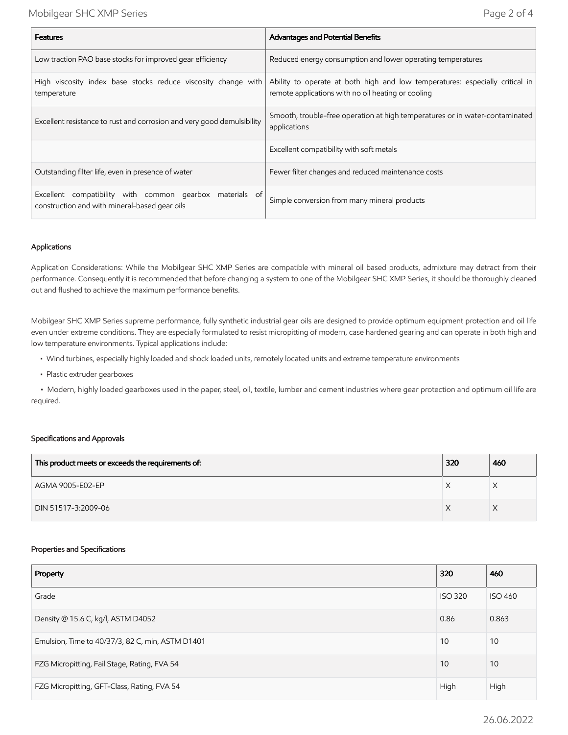| <b>Features</b>                                                                                           | <b>Advantages and Potential Benefits</b>                                                                                                                                                                                           |  |
|-----------------------------------------------------------------------------------------------------------|------------------------------------------------------------------------------------------------------------------------------------------------------------------------------------------------------------------------------------|--|
| Low traction PAO base stocks for improved gear efficiency                                                 | Reduced energy consumption and lower operating temperatures                                                                                                                                                                        |  |
| High viscosity index base stocks reduce viscosity change with<br>temperature                              | Ability to operate at both high and low temperatures: especially critical in<br>remote applications with no oil heating or cooling<br>Smooth, trouble-free operation at high temperatures or in water-contaminated<br>applications |  |
| Excellent resistance to rust and corrosion and very good demulsibility                                    |                                                                                                                                                                                                                                    |  |
|                                                                                                           | Excellent compatibility with soft metals                                                                                                                                                                                           |  |
| Outstanding filter life, even in presence of water                                                        | Fewer filter changes and reduced maintenance costs                                                                                                                                                                                 |  |
| Excellent compatibility with common gearbox materials of<br>construction and with mineral-based gear oils | Simple conversion from many mineral products                                                                                                                                                                                       |  |

#### Applications

Application Considerations: While the Mobilgear SHC XMP Series are compatible with mineral oil based products, admixture may detract from their performance. Consequently it is recommended that before changing a system to one of the Mobilgear SHC XMP Series, it should be thoroughly cleaned out and flushed to achieve the maximum performance benefits.

Mobilgear SHC XMP Series supreme performance, fully synthetic industrial gear oils are designed to provide optimum equipment protection and oil life even under extreme conditions. They are especially formulated to resist micropitting of modern, case hardened gearing and can operate in both high and low temperature environments. Typical applications include:

- Wind turbines, especially highly loaded and shock loaded units, remotely located units and extreme temperature environments
- Plastic extruder gearboxes

 • Modern, highly loaded gearboxes used in the paper, steel, oil, textile, lumber and cement industries where gear protection and optimum oil life are required.

#### Specifications and Approvals

| This product meets or exceeds the requirements of: | 320 | 460 |
|----------------------------------------------------|-----|-----|
| AGMA 9005-E02-EP                                   |     |     |
| DIN 51517-3:2009-06                                |     |     |

#### Properties and Specifications

| Property                                         | 320            | 460            |
|--------------------------------------------------|----------------|----------------|
| Grade                                            | <b>ISO 320</b> | <b>ISO 460</b> |
| Density @ 15.6 C, kg/l, ASTM D4052               | 0.86           | 0.863          |
| Emulsion, Time to 40/37/3, 82 C, min, ASTM D1401 | 10             | 10             |
| FZG Micropitting, Fail Stage, Rating, FVA 54     | 10             | 10             |
| FZG Micropitting, GFT-Class, Rating, FVA 54      | High           | High           |